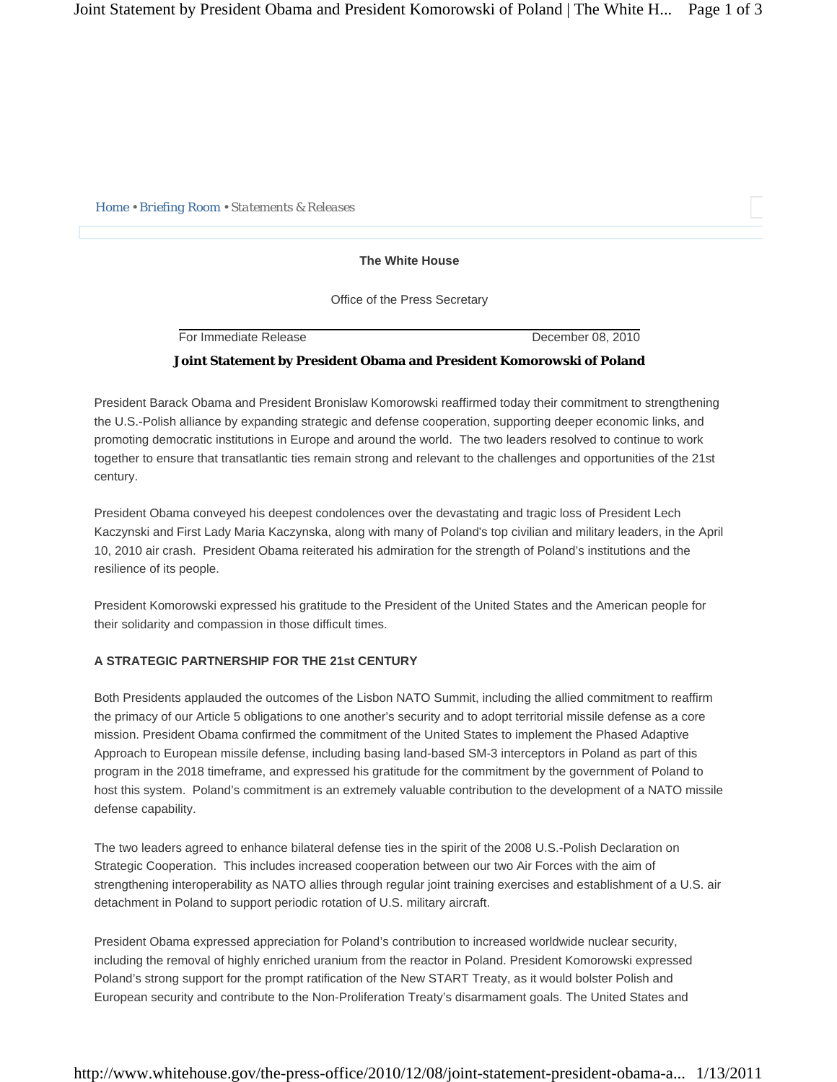*Home • Briefing Room • Statements & Releases* 

#### **The White House**

Office of the Press Secretary

For Immediate Release December 08, 2010

#### **Joint Statement by President Obama and President Komorowski of Poland**

President Barack Obama and President Bronislaw Komorowski reaffirmed today their commitment to strengthening the U.S.-Polish alliance by expanding strategic and defense cooperation, supporting deeper economic links, and promoting democratic institutions in Europe and around the world. The two leaders resolved to continue to work together to ensure that transatlantic ties remain strong and relevant to the challenges and opportunities of the 21st century.

President Obama conveyed his deepest condolences over the devastating and tragic loss of President Lech Kaczynski and First Lady Maria Kaczynska, along with many of Poland's top civilian and military leaders, in the April 10, 2010 air crash. President Obama reiterated his admiration for the strength of Poland's institutions and the resilience of its people.

President Komorowski expressed his gratitude to the President of the United States and the American people for their solidarity and compassion in those difficult times.

# **A STRATEGIC PARTNERSHIP FOR THE 21st CENTURY**

Both Presidents applauded the outcomes of the Lisbon NATO Summit, including the allied commitment to reaffirm the primacy of our Article 5 obligations to one another's security and to adopt territorial missile defense as a core mission. President Obama confirmed the commitment of the United States to implement the Phased Adaptive Approach to European missile defense, including basing land-based SM-3 interceptors in Poland as part of this program in the 2018 timeframe, and expressed his gratitude for the commitment by the government of Poland to host this system. Poland's commitment is an extremely valuable contribution to the development of a NATO missile defense capability.

The two leaders agreed to enhance bilateral defense ties in the spirit of the 2008 U.S.-Polish Declaration on Strategic Cooperation. This includes increased cooperation between our two Air Forces with the aim of strengthening interoperability as NATO allies through regular joint training exercises and establishment of a U.S. air detachment in Poland to support periodic rotation of U.S. military aircraft.

President Obama expressed appreciation for Poland's contribution to increased worldwide nuclear security, including the removal of highly enriched uranium from the reactor in Poland. President Komorowski expressed Poland's strong support for the prompt ratification of the New START Treaty, as it would bolster Polish and European security and contribute to the Non-Proliferation Treaty's disarmament goals. The United States and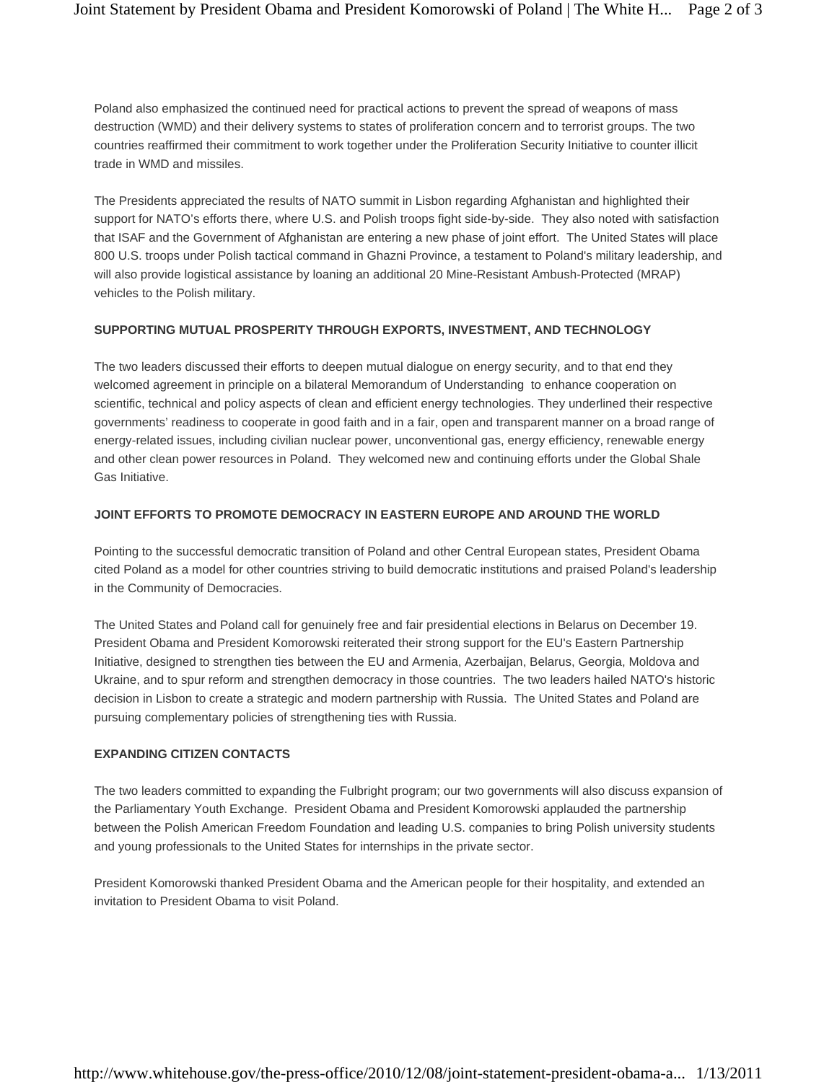Poland also emphasized the continued need for practical actions to prevent the spread of weapons of mass destruction (WMD) and their delivery systems to states of proliferation concern and to terrorist groups. The two countries reaffirmed their commitment to work together under the Proliferation Security Initiative to counter illicit trade in WMD and missiles.

The Presidents appreciated the results of NATO summit in Lisbon regarding Afghanistan and highlighted their support for NATO's efforts there, where U.S. and Polish troops fight side-by-side. They also noted with satisfaction that ISAF and the Government of Afghanistan are entering a new phase of joint effort. The United States will place 800 U.S. troops under Polish tactical command in Ghazni Province, a testament to Poland's military leadership, and will also provide logistical assistance by loaning an additional 20 Mine-Resistant Ambush-Protected (MRAP) vehicles to the Polish military.

### **SUPPORTING MUTUAL PROSPERITY THROUGH EXPORTS, INVESTMENT, AND TECHNOLOGY**

The two leaders discussed their efforts to deepen mutual dialogue on energy security, and to that end they welcomed agreement in principle on a bilateral Memorandum of Understanding to enhance cooperation on scientific, technical and policy aspects of clean and efficient energy technologies. They underlined their respective governments' readiness to cooperate in good faith and in a fair, open and transparent manner on a broad range of energy-related issues, including civilian nuclear power, unconventional gas, energy efficiency, renewable energy and other clean power resources in Poland. They welcomed new and continuing efforts under the Global Shale Gas Initiative.

# **JOINT EFFORTS TO PROMOTE DEMOCRACY IN EASTERN EUROPE AND AROUND THE WORLD**

Pointing to the successful democratic transition of Poland and other Central European states, President Obama cited Poland as a model for other countries striving to build democratic institutions and praised Poland's leadership in the Community of Democracies.

The United States and Poland call for genuinely free and fair presidential elections in Belarus on December 19. President Obama and President Komorowski reiterated their strong support for the EU's Eastern Partnership Initiative, designed to strengthen ties between the EU and Armenia, Azerbaijan, Belarus, Georgia, Moldova and Ukraine, and to spur reform and strengthen democracy in those countries. The two leaders hailed NATO's historic decision in Lisbon to create a strategic and modern partnership with Russia. The United States and Poland are pursuing complementary policies of strengthening ties with Russia.

# **EXPANDING CITIZEN CONTACTS**

The two leaders committed to expanding the Fulbright program; our two governments will also discuss expansion of the Parliamentary Youth Exchange. President Obama and President Komorowski applauded the partnership between the Polish American Freedom Foundation and leading U.S. companies to bring Polish university students and young professionals to the United States for internships in the private sector.

President Komorowski thanked President Obama and the American people for their hospitality, and extended an invitation to President Obama to visit Poland.